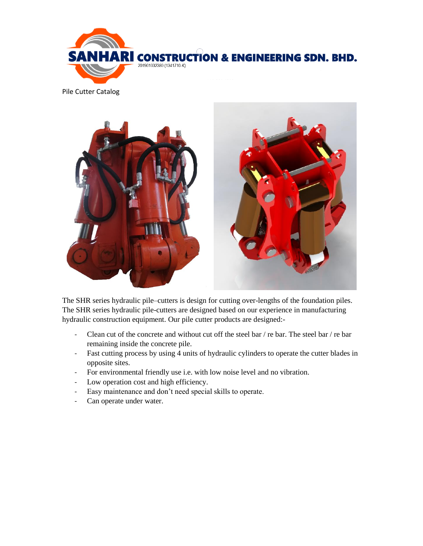

Pile Cutter Catalog



The SHR series hydraulic pile–cutters is design for cutting over-lengths of the foundation piles. The SHR series hydraulic pile-cutters are designed based on our experience in manufacturing hydraulic construction equipment. Our pile cutter products are designed:-

- Clean cut of the concrete and without cut off the steel bar / re bar. The steel bar / re bar remaining inside the concrete pile.
- Fast cutting process by using 4 units of hydraulic cylinders to operate the cutter blades in opposite sites.
- For environmental friendly use i.e. with low noise level and no vibration.
- Low operation cost and high efficiency.
- Easy maintenance and don't need special skills to operate.
- Can operate under water.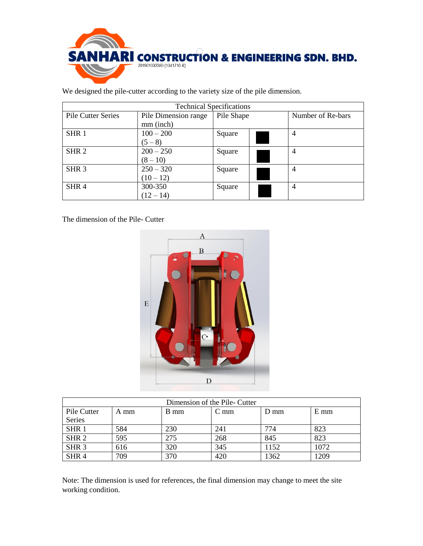

We designed the pile-cutter according to the variety size of the pile dimension.

| <b>Technical Specifications</b> |                      |            |  |                   |  |  |  |  |
|---------------------------------|----------------------|------------|--|-------------------|--|--|--|--|
| <b>Pile Cutter Series</b>       | Pile Dimension range | Pile Shape |  | Number of Re-bars |  |  |  |  |
|                                 | mm (inch)            |            |  |                   |  |  |  |  |
| SHR <sub>1</sub>                | $100 - 200$          | Square     |  | 4                 |  |  |  |  |
|                                 | $(5-8)$              |            |  |                   |  |  |  |  |
| SHR <sub>2</sub>                | $200 - 250$          | Square     |  | $\overline{4}$    |  |  |  |  |
|                                 | $(8 - 10)$           |            |  |                   |  |  |  |  |
| SHR <sub>3</sub>                | $250 - 320$          | Square     |  | $\overline{4}$    |  |  |  |  |
|                                 | $(10-12)$            |            |  |                   |  |  |  |  |
| SHR <sub>4</sub>                | 300-350              | Square     |  | 4                 |  |  |  |  |
|                                 | $(12 - 14)$          |            |  |                   |  |  |  |  |

The dimension of the Pile- Cutter



| Dimension of the Pile- Cutter |      |      |                 |                  |        |  |  |  |
|-------------------------------|------|------|-----------------|------------------|--------|--|--|--|
| Pile Cutter                   | A mm | B mm | C <sub>mm</sub> | $D \, \text{mm}$ | $E$ mm |  |  |  |
| Series                        |      |      |                 |                  |        |  |  |  |
| SHR <sub>1</sub>              | 584  | 230  | 241             | 774              | 823    |  |  |  |
| SHR <sub>2</sub>              | 595  | 275  | 268             | 845              | 823    |  |  |  |
| SHR <sub>3</sub>              | 616  | 320  | 345             | 1152             | 1072   |  |  |  |
| SHR <sub>4</sub>              | 709  | 370  | 420             | 1362             | 209    |  |  |  |

Note: The dimension is used for references, the final dimension may change to meet the site working condition.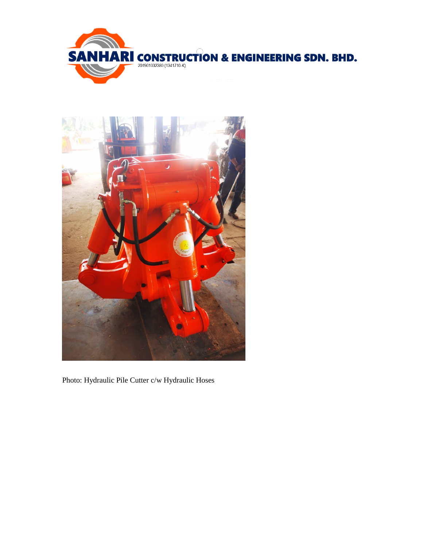



Photo: Hydraulic Pile Cutter c/w Hydraulic Hoses